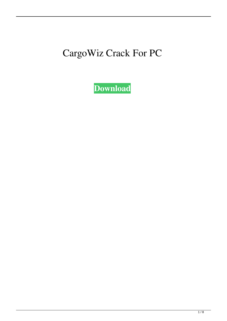## CargoWiz Crack For PC

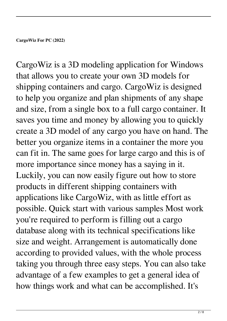**CargoWiz For PC (2022)**

CargoWiz is a 3D modeling application for Windows that allows you to create your own 3D models for shipping containers and cargo. CargoWiz is designed to help you organize and plan shipments of any shape and size, from a single box to a full cargo container. It saves you time and money by allowing you to quickly create a 3D model of any cargo you have on hand. The better you organize items in a container the more you can fit in. The same goes for large cargo and this is of more importance since money has a saying in it. Luckily, you can now easily figure out how to store products in different shipping containers with applications like CargoWiz, with as little effort as possible. Quick start with various samples Most work you're required to perform is filling out a cargo database along with its technical specifications like size and weight. Arrangement is automatically done according to provided values, with the whole process taking you through three easy steps. You can also take advantage of a few examples to get a general idea of how things work and what can be accomplished. It's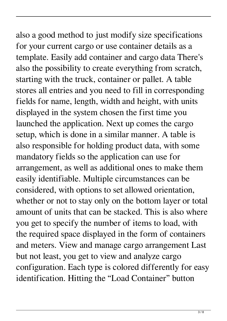also a good method to just modify size specifications for your current cargo or use container details as a template. Easily add container and cargo data There's also the possibility to create everything from scratch, starting with the truck, container or pallet. A table stores all entries and you need to fill in corresponding fields for name, length, width and height, with units displayed in the system chosen the first time you launched the application. Next up comes the cargo setup, which is done in a similar manner. A table is also responsible for holding product data, with some mandatory fields so the application can use for arrangement, as well as additional ones to make them easily identifiable. Multiple circumstances can be considered, with options to set allowed orientation, whether or not to stay only on the bottom layer or total amount of units that can be stacked. This is also where you get to specify the number of items to load, with the required space displayed in the form of containers and meters. View and manage cargo arrangement Last but not least, you get to view and analyze cargo configuration. Each type is colored differently for easy identification. Hitting the "Load Container" button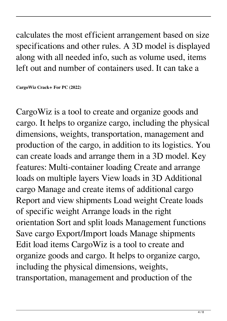calculates the most efficient arrangement based on size specifications and other rules. A 3D model is displayed along with all needed info, such as volume used, items left out and number of containers used. It can take a

**CargoWiz Crack+ For PC (2022)**

CargoWiz is a tool to create and organize goods and cargo. It helps to organize cargo, including the physical dimensions, weights, transportation, management and production of the cargo, in addition to its logistics. You can create loads and arrange them in a 3D model. Key features: Multi-container loading Create and arrange loads on multiple layers View loads in 3D Additional cargo Manage and create items of additional cargo Report and view shipments Load weight Create loads of specific weight Arrange loads in the right orientation Sort and split loads Management functions Save cargo Export/Import loads Manage shipments Edit load items CargoWiz is a tool to create and organize goods and cargo. It helps to organize cargo, including the physical dimensions, weights, transportation, management and production of the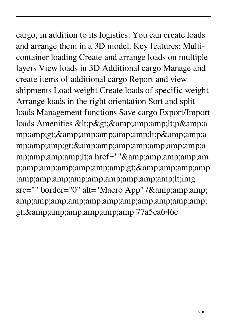cargo, in addition to its logistics. You can create loads and arrange them in a 3D model. Key features: Multicontainer loading Create and arrange loads on multiple layers View loads in 3D Additional cargo Manage and create items of additional cargo Report and view shipments Load weight Create loads of specific weight Arrange loads in the right orientation Sort and split loads Management functions Save cargo Export/Import loads Amenities <p&gt;&amp;amp;amp;lt;p&amp;a mp;amp;gt;<p&amp;amp;a mp;amp;amp;gt;&a mp;amp;amp;amp;lt;a href=""&am p;amp;amp;amp;amp;amp;amp;gt;&amp ;amp;amp;amp;amp;amp;amp;amp;amp;amp;lt;img src="" border="0" alt="Macro App" /& amp;amp;amp;amp;amp;amp;amp;amp;amp;amp;amp; gt; & amp; amp; amp; amp; amp; amp 77a5ca646e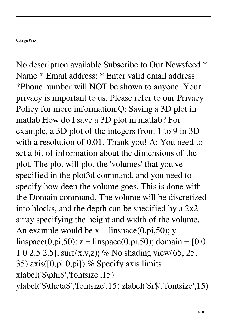## **CargoWiz**

No description available Subscribe to Our Newsfeed \* Name \* Email address: \* Enter valid email address. \*Phone number will NOT be shown to anyone. Your privacy is important to us. Please refer to our Privacy Policy for more information.Q: Saving a 3D plot in matlab How do I save a 3D plot in matlab? For example, a 3D plot of the integers from 1 to 9 in 3D with a resolution of 0.01. Thank you! A: You need to set a bit of information about the dimensions of the plot. The plot will plot the 'volumes' that you've specified in the plot3d command, and you need to specify how deep the volume goes. This is done with the Domain command. The volume will be discretized into blocks, and the depth can be specified by a 2x2 array specifying the height and width of the volume. An example would be  $x = \text{linspace}(0, \text{pi}, 50)$ ;  $y =$ linspace(0,pi,50);  $z =$ linspace(0,pi,50); domain = [0 0 1 0 2.5 2.5]; surf(x,y,z); % No shading view(65, 25, 35) axis( $[0, pi, 0, pi]$ ) % Specify axis limits xlabel('\$\phi\$','fontsize',15) ylabel('\$\theta\$','fontsize',15) zlabel('\$r\$','fontsize',15)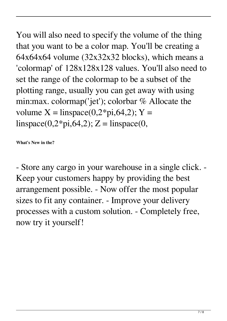You will also need to specify the volume of the thing that you want to be a color map. You'll be creating a 64x64x64 volume (32x32x32 blocks), which means a 'colormap' of 128x128x128 values. You'll also need to set the range of the colormap to be a subset of the plotting range, usually you can get away with using min:max. colormap('jet'); colorbar % Allocate the volume  $X = \text{linspace}(0, 2 \cdot \text{pi}, 64, 2); Y =$  $linspace(0,2*pi,64,2);$  Z = linspace(0,

**What's New in the?**

- Store any cargo in your warehouse in a single click. - Keep your customers happy by providing the best arrangement possible. - Now offer the most popular sizes to fit any container. - Improve your delivery processes with a custom solution. - Completely free, now try it yourself!